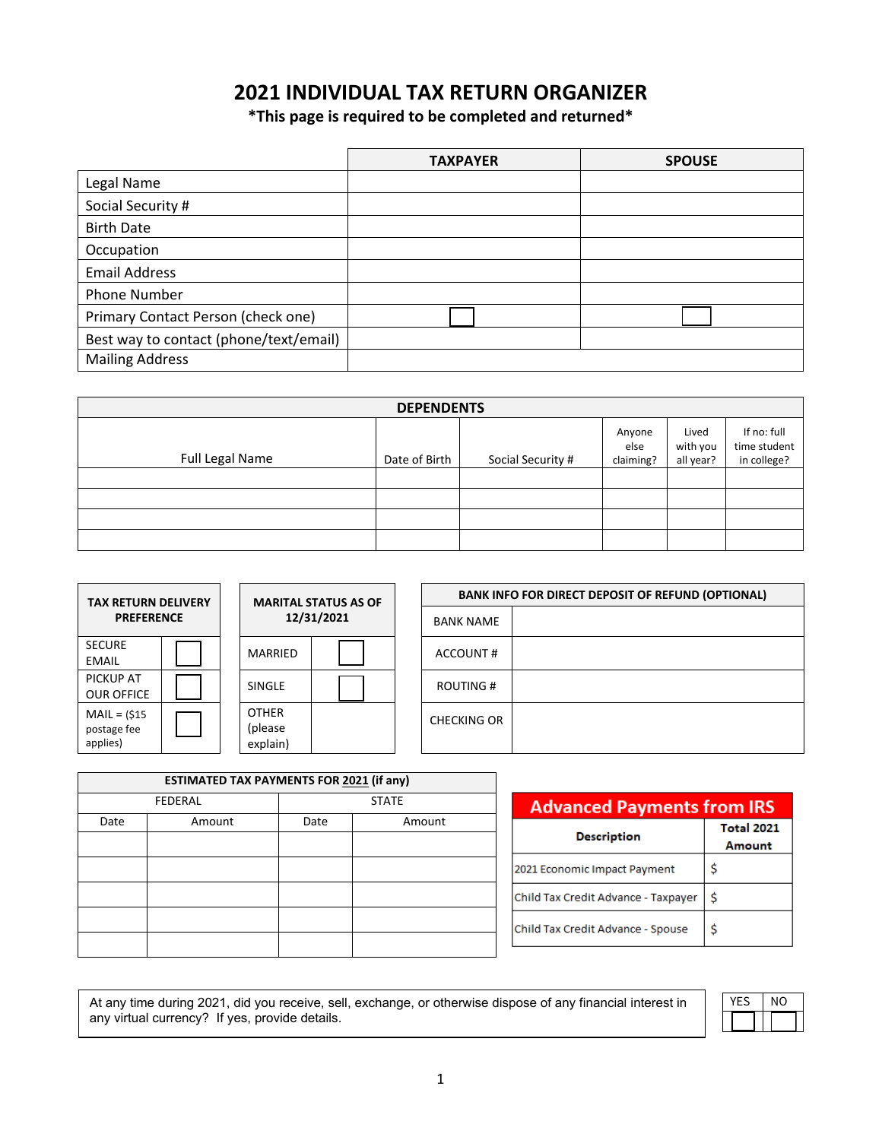# **2021 INDIVIDUAL TAX RETURN ORGANIZER**

**\*This page is required to be completed and returned\***

|                                        | <b>TAXPAYER</b> | <b>SPOUSE</b> |
|----------------------------------------|-----------------|---------------|
| Legal Name                             |                 |               |
| Social Security #                      |                 |               |
| <b>Birth Date</b>                      |                 |               |
| Occupation                             |                 |               |
| <b>Email Address</b>                   |                 |               |
| Phone Number                           |                 |               |
| Primary Contact Person (check one)     |                 |               |
| Best way to contact (phone/text/email) |                 |               |
| <b>Mailing Address</b>                 |                 |               |

| <b>DEPENDENTS</b> |               |                   |                             |                                |                                            |  |  |
|-------------------|---------------|-------------------|-----------------------------|--------------------------------|--------------------------------------------|--|--|
| Full Legal Name   | Date of Birth | Social Security # | Anyone<br>else<br>claiming? | Lived<br>with you<br>all year? | If no: full<br>time student<br>in college? |  |  |
|                   |               |                   |                             |                                |                                            |  |  |
|                   |               |                   |                             |                                |                                            |  |  |
|                   |               |                   |                             |                                |                                            |  |  |
|                   |               |                   |                             |                                |                                            |  |  |

| <b>MARITAL STATUS AS OF</b><br><b>TAX RETURN DELIVERY</b> |  |                                     | <b>BANK INFO FOR DIRECT DEPOSIT OF REFUND (OPTIONAL)</b> |  |                  |  |
|-----------------------------------------------------------|--|-------------------------------------|----------------------------------------------------------|--|------------------|--|
| <b>PREFERENCE</b>                                         |  |                                     | 12/31/2021                                               |  | <b>BANK NAME</b> |  |
| <b>SECURE</b><br>EMAIL                                    |  | MARRIED                             |                                                          |  | ACCOUNT#         |  |
| <b>PICKUP AT</b><br><b>OUR OFFICE</b>                     |  | SINGLE                              |                                                          |  | ROUTING #        |  |
| $MAIL = (515$<br>postage fee<br>applies)                  |  | <b>OTHER</b><br>(please<br>explain) |                                                          |  | CHECKING OR      |  |

| <b>ESTIMATED TAX PAYMENTS FOR 2021 (if any)</b> |                |                |  |  |
|-------------------------------------------------|----------------|----------------|--|--|
|                                                 | <b>FEDERAL</b> | <b>STATE</b>   |  |  |
| Date                                            | Amount         | Date<br>Amount |  |  |
|                                                 |                |                |  |  |
|                                                 |                |                |  |  |
|                                                 |                |                |  |  |
|                                                 |                |                |  |  |
|                                                 |                |                |  |  |

| <b>Advanced Payments from IRS</b>   |                             |  |  |
|-------------------------------------|-----------------------------|--|--|
| <b>Description</b>                  | <b>Total 2021</b><br>Amount |  |  |
| 2021 Economic Impact Payment        | \$                          |  |  |
| Child Tax Credit Advance - Taxpayer | Ś                           |  |  |
| Child Tax Credit Advance - Spouse   | Ś                           |  |  |

At any time during 2021, did you receive, sell, exchange, or otherwise dispose of any financial interest in  $\; \; \; \; \; \; \times$  YES  $\; \;$  NO any virtual currency? If yes, provide details.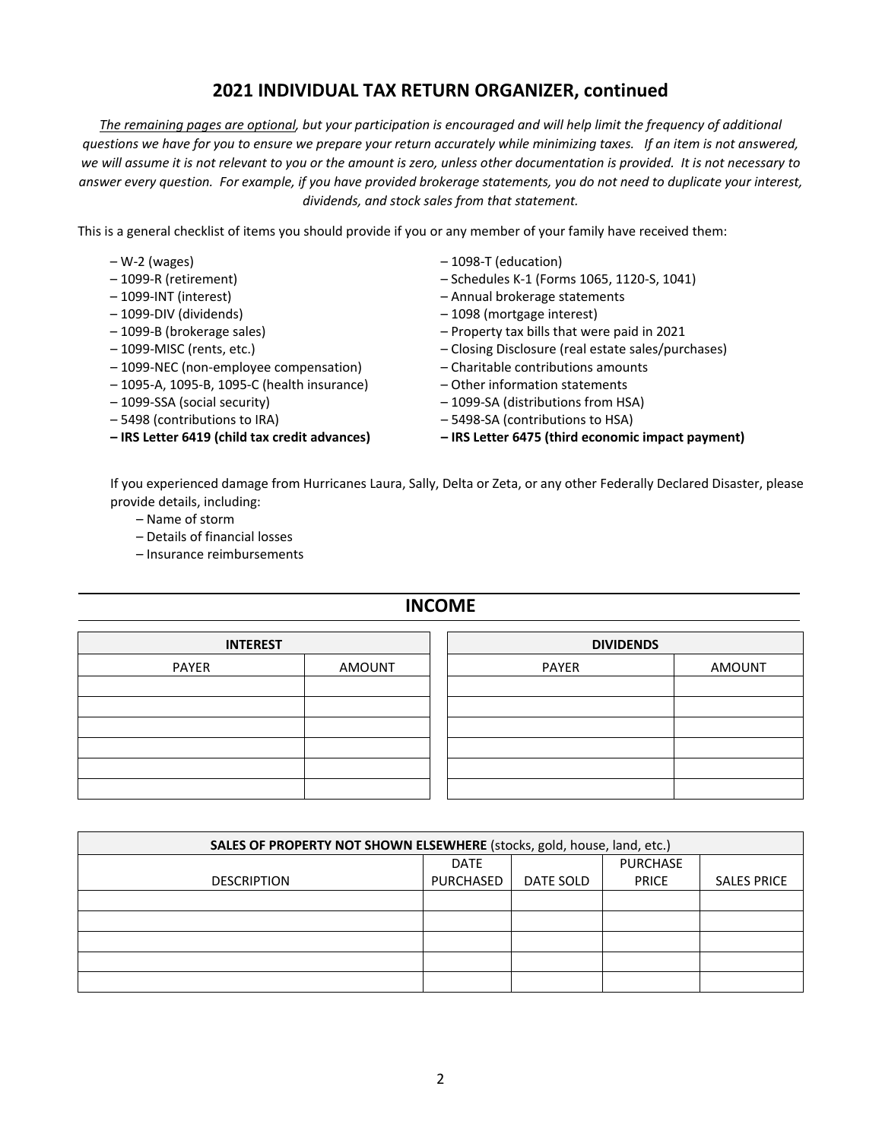## **2021 INDIVIDUAL TAX RETURN ORGANIZER, continued**

*The remaining pages are optional, but your participation is encouraged and will help limit the frequency of additional questions we have for you to ensure we prepare your return accurately while minimizing taxes. If an item is not answered, we will assume it is not relevant to you or the amount is zero, unless other documentation is provided. It is not necessary to answer every question. For example, if you have provided brokerage statements, you do not need to duplicate your interest, dividends, and stock sales from that statement.*

This is a general checklist of items you should provide if you or any member of your family have received them:

- 
- 
- 
- 
- 
- 
- 1099-NEC (non-employee compensation) Charitable contributions amounts
- 1095-A, 1095-B, 1095-C (health insurance) Other information statements
- 
- 
- 
- W-2 (wages) 1098-T (education)
- 1099-R (retirement) Schedules K-1 (Forms 1065, 1120-S, 1041)
- 1099-INT (interest) Annual brokerage statements
- 1099-DIV (dividends) 1098 (mortgage interest)
- 1099-B (brokerage sales) Property tax bills that were paid in 2021
- 1099-MISC (rents, etc.) Closing Disclosure (real estate sales/purchases)
	-
	-
- 1099-SSA (social security) 1099-SA (distributions from HSA)
- 5498 (contributions to IRA) 5498-SA (contributions to HSA)
- **– IRS Letter 6419 (child tax credit advances) – IRS Letter 6475 (third economic impact payment)**

If you experienced damage from Hurricanes Laura, Sally, Delta or Zeta, or any other Federally Declared Disaster, please provide details, including:

- Name of storm
- Details of financial losses
- Insurance reimbursements

#### **INCOME**

| <b>INTEREST</b> |        | <b>DIVIDENDS</b> |               |
|-----------------|--------|------------------|---------------|
| PAYER           | AMOUNT | PAYER            | <b>AMOUNT</b> |
|                 |        |                  |               |
|                 |        |                  |               |
|                 |        |                  |               |
|                 |        |                  |               |
|                 |        |                  |               |
|                 |        |                  |               |

| SALES OF PROPERTY NOT SHOWN ELSEWHERE (stocks, gold, house, land, etc.) |             |           |                 |                    |  |  |
|-------------------------------------------------------------------------|-------------|-----------|-----------------|--------------------|--|--|
|                                                                         | <b>DATE</b> |           | <b>PURCHASE</b> |                    |  |  |
| <b>DESCRIPTION</b>                                                      | PURCHASED   | DATE SOLD | <b>PRICE</b>    | <b>SALES PRICE</b> |  |  |
|                                                                         |             |           |                 |                    |  |  |
|                                                                         |             |           |                 |                    |  |  |
|                                                                         |             |           |                 |                    |  |  |
|                                                                         |             |           |                 |                    |  |  |
|                                                                         |             |           |                 |                    |  |  |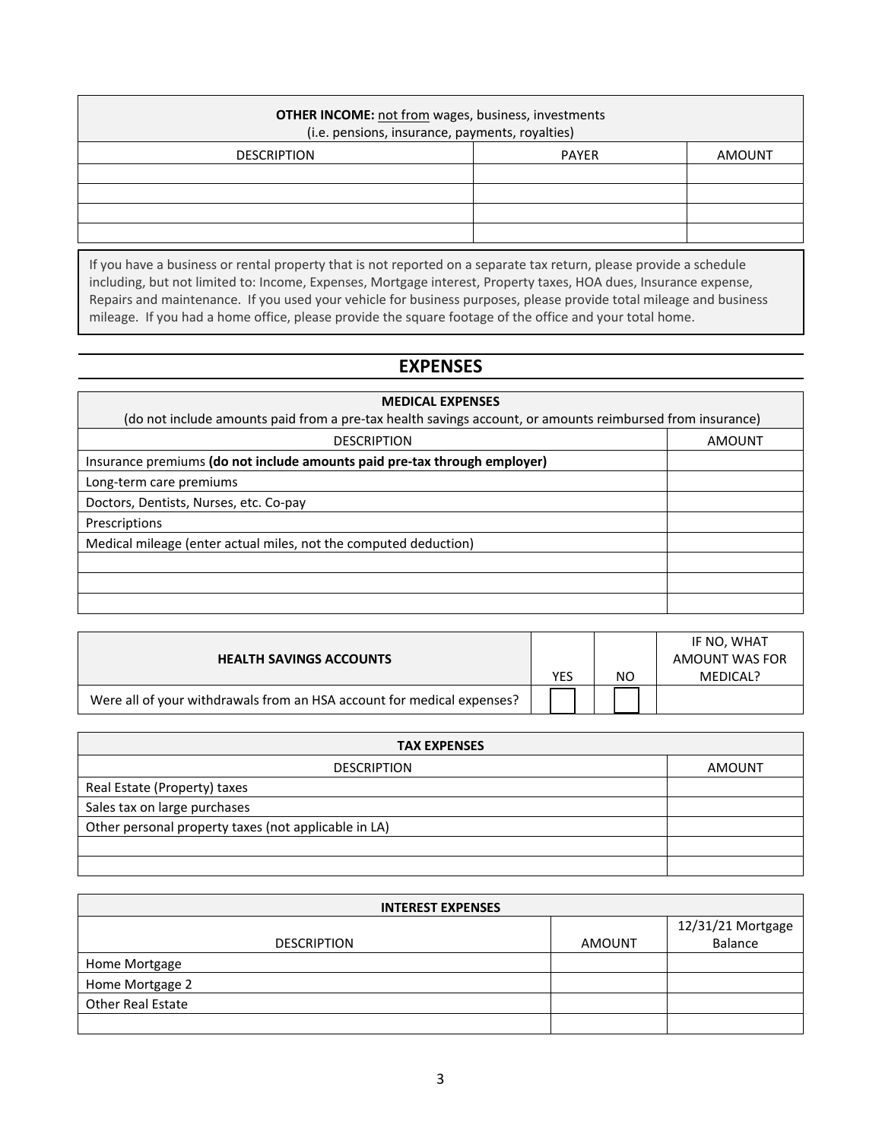| <b>OTHER INCOME:</b> not from wages, business, investments<br>(i.e. pensions, insurance, payments, royalties) |              |        |  |  |
|---------------------------------------------------------------------------------------------------------------|--------------|--------|--|--|
| <b>DESCRIPTION</b>                                                                                            | <b>PAYER</b> | AMOUNT |  |  |
|                                                                                                               |              |        |  |  |
|                                                                                                               |              |        |  |  |
|                                                                                                               |              |        |  |  |
|                                                                                                               |              |        |  |  |

If you have a business or rental property that is not reported on a separate tax return, please provide a schedule including, but not limited to: Income, Expenses, Mortgage interest, Property taxes, HOA dues, Insurance expense, Repairs and maintenance. If you used your vehicle for business purposes, please provide total mileage and business mileage. If you had a home office, please provide the square footage of the office and your total home.

## **EXPENSES**

| (do not include amounts paid from a pre-tax health savings account, or amounts reimbursed from insurance) |  |  |
|-----------------------------------------------------------------------------------------------------------|--|--|
| AMOUNT                                                                                                    |  |  |
|                                                                                                           |  |  |
|                                                                                                           |  |  |
|                                                                                                           |  |  |
|                                                                                                           |  |  |
|                                                                                                           |  |  |
|                                                                                                           |  |  |
|                                                                                                           |  |  |
|                                                                                                           |  |  |
|                                                                                                           |  |  |

| <b>HEALTH SAVINGS ACCOUNTS</b>                                         |     |    | IF NO, WHAT<br>AMOUNT WAS FOR |
|------------------------------------------------------------------------|-----|----|-------------------------------|
|                                                                        | YES | NΟ | MEDICAL?                      |
| Were all of your withdrawals from an HSA account for medical expenses? |     |    |                               |

| <b>TAX EXPENSES</b>                                  |        |  |
|------------------------------------------------------|--------|--|
| <b>DESCRIPTION</b>                                   | AMOUNT |  |
| Real Estate (Property) taxes                         |        |  |
| Sales tax on large purchases                         |        |  |
| Other personal property taxes (not applicable in LA) |        |  |
|                                                      |        |  |
|                                                      |        |  |

| <b>INTEREST EXPENSES</b> |               |                              |  |
|--------------------------|---------------|------------------------------|--|
| <b>DESCRIPTION</b>       | <b>AMOUNT</b> | 12/31/21 Mortgage<br>Balance |  |
| Home Mortgage            |               |                              |  |
| Home Mortgage 2          |               |                              |  |
| <b>Other Real Estate</b> |               |                              |  |
|                          |               |                              |  |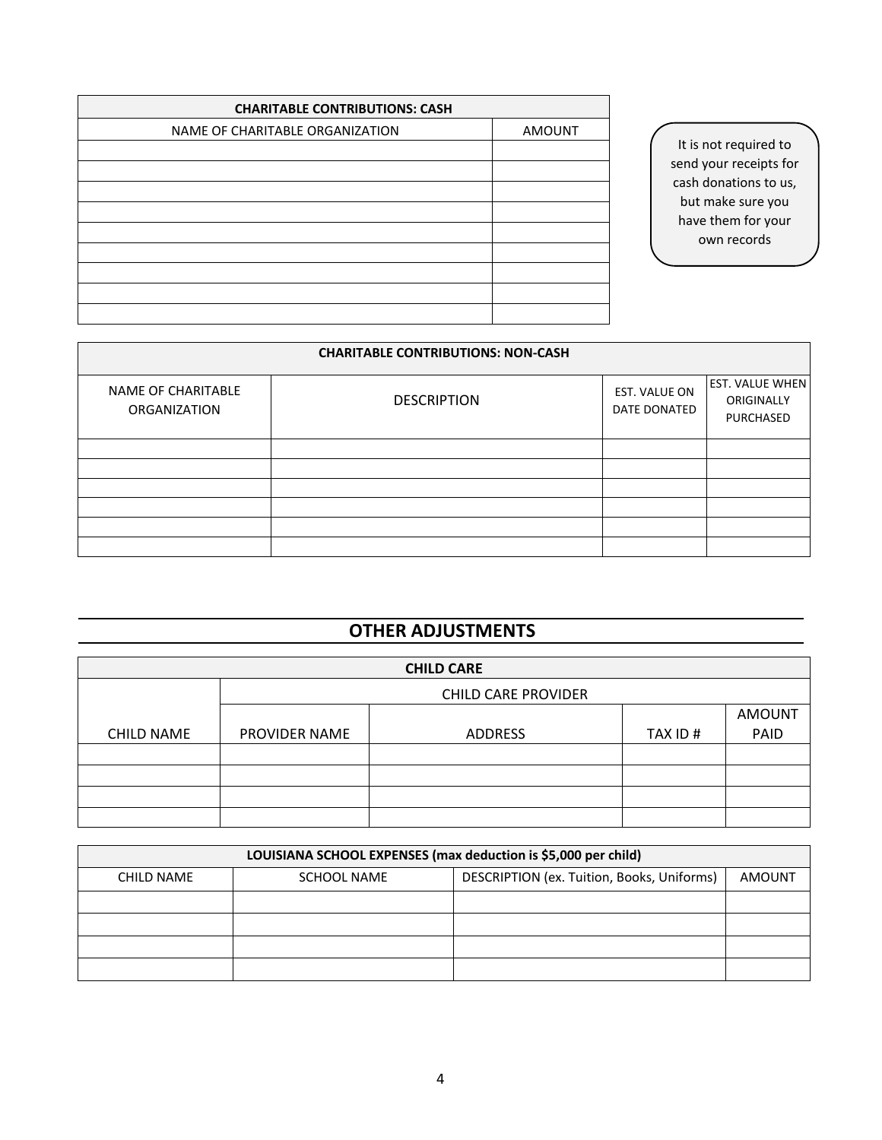| <b>CHARITABLE CONTRIBUTIONS: CASH</b> |               |  |
|---------------------------------------|---------------|--|
| NAME OF CHARITABLE ORGANIZATION       | <b>AMOUNT</b> |  |
|                                       |               |  |
|                                       |               |  |
|                                       |               |  |
|                                       |               |  |
|                                       |               |  |
|                                       |               |  |
|                                       |               |  |
|                                       |               |  |
|                                       |               |  |

It is not required to send your receipts for cash donations to us, but make sure you have them for your own records

| <b>CHARITABLE CONTRIBUTIONS: NON-CASH</b> |                    |                               |                                                   |
|-------------------------------------------|--------------------|-------------------------------|---------------------------------------------------|
| NAME OF CHARITABLE<br><b>ORGANIZATION</b> | <b>DESCRIPTION</b> | EST. VALUE ON<br>DATE DONATED | <b>EST. VALUE WHEN</b><br>ORIGINALLY<br>PURCHASED |
|                                           |                    |                               |                                                   |
|                                           |                    |                               |                                                   |
|                                           |                    |                               |                                                   |
|                                           |                    |                               |                                                   |
|                                           |                    |                               |                                                   |
|                                           |                    |                               |                                                   |

# **OTHER ADJUSTMENTS**

| <b>CHILD CARE</b> |                            |         |         |               |
|-------------------|----------------------------|---------|---------|---------------|
|                   | <b>CHILD CARE PROVIDER</b> |         |         |               |
|                   |                            |         |         | <b>AMOUNT</b> |
| <b>CHILD NAME</b> | PROVIDER NAME              | ADDRESS | TAX ID# | PAID          |
|                   |                            |         |         |               |
|                   |                            |         |         |               |
|                   |                            |         |         |               |
|                   |                            |         |         |               |

| LOUISIANA SCHOOL EXPENSES (max deduction is \$5,000 per child) |             |                                            |               |
|----------------------------------------------------------------|-------------|--------------------------------------------|---------------|
| CHILD NAME                                                     | SCHOOL NAME | DESCRIPTION (ex. Tuition, Books, Uniforms) | <b>AMOUNT</b> |
|                                                                |             |                                            |               |
|                                                                |             |                                            |               |
|                                                                |             |                                            |               |
|                                                                |             |                                            |               |